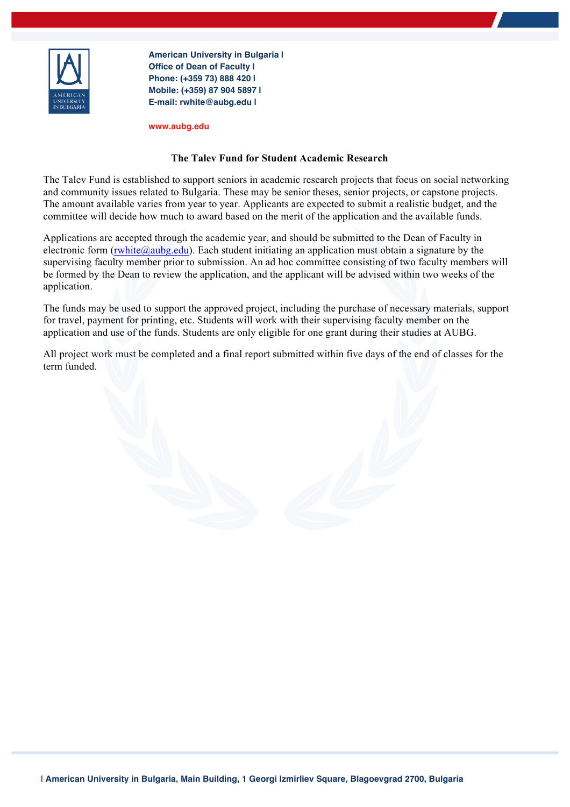

**American University in Bulgaria | Office of Dean of Faculty | Phone: (+359 73) 888 420 | Mobile: (+359) 87 904 5897 | E-mail: rwhite@aubg.edu |**

**www.aubg.edu**

## **The Talev Fund for Student Academic Research**

The Talev Fund is established to support seniors in academic research projects that focus on social networking and community issues related to Bulgaria. These may be senior theses, senior projects, or capstone projects. The amount available varies from year to year. Applicants are expected to submit a realistic budget, and the committee will decide how much to award based on the merit of the application and the available funds.

Applications are accepted through the academic year, and should be submitted to the Dean of Faculty in electronic form (rwhite@aubg.edu). Each student initiating an application must obtain a signature by the supervising faculty member prior to submission. An ad hoc committee consisting of two faculty members will be formed by the Dean to review the application, and the applicant will be advised within two weeks of the application.

The funds may be used to support the approved project, including the purchase of necessary materials, support for travel, payment for printing, etc. Students will work with their supervising faculty member on the application and use of the funds. Students are only eligible for one grant during their studies at AUBG.

All project work must be completed and a final report submitted within five days of the end of classes for the term funded.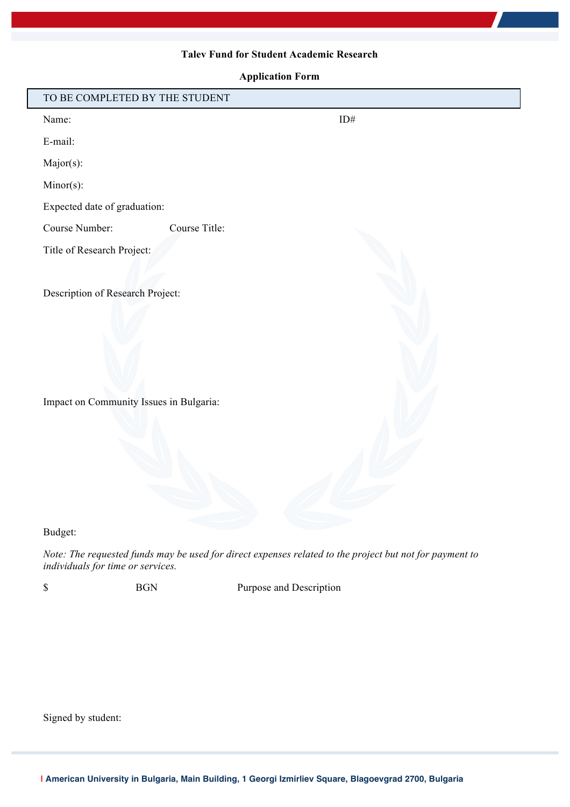## **Talev Fund for Student Academic Research**

**Application Form**

| TO BE COMPLETED BY THE STUDENT          |               |
|-----------------------------------------|---------------|
| Name:                                   | $ID#$         |
| E-mail:                                 |               |
| Major(s):                               |               |
| Minor(s):                               |               |
| Expected date of graduation:            |               |
| Course Number:                          | Course Title: |
| Title of Research Project:              |               |
|                                         |               |
| Description of Research Project:        |               |
|                                         |               |
|                                         |               |
|                                         |               |
|                                         |               |
| Impact on Community Issues in Bulgaria: |               |
|                                         |               |
|                                         |               |
|                                         |               |
|                                         |               |
|                                         |               |
|                                         |               |

Budget:

*Note: The requested funds may be used for direct expenses related to the project but not for payment to individuals for time or services.*

\$ BGN Purpose and Description

Signed by student: